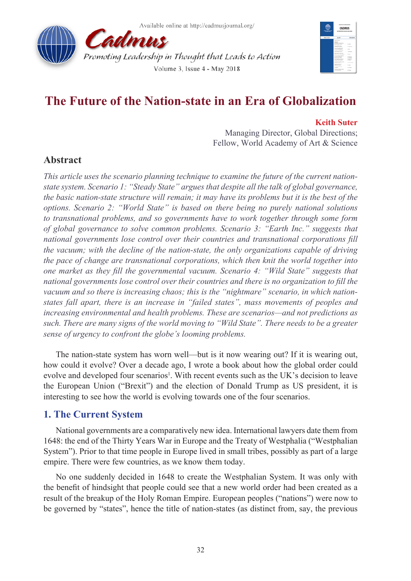Available online at http://cadmusjournal.org/





# **The Future of the Nation-state in an Era of Globalization**

#### **Keith Suter**

Managing Director, Global Directions; Fellow, World Academy of Art & Science

# **Abstract**

*This article uses the scenario planning technique to examine the future of the current nationstate system. Scenario 1: "Steady State" argues that despite all the talk of global governance, the basic nation-state structure will remain; it may have its problems but it is the best of the options. Scenario 2: "World State" is based on there being no purely national solutions to transnational problems, and so governments have to work together through some form of global governance to solve common problems. Scenario 3: "Earth Inc." suggests that national governments lose control over their countries and transnational corporations fill the vacuum; with the decline of the nation-state, the only organizations capable of driving the pace of change are transnational corporations, which then knit the world together into one market as they fill the governmental vacuum. Scenario 4: "Wild State" suggests that national governments lose control over their countries and there is no organization to fill the vacuum and so there is increasing chaos; this is the "nightmare" scenario, in which nationstates fall apart, there is an increase in "failed states", mass movements of peoples and increasing environmental and health problems. These are scenarios—and not predictions as such. There are many signs of the world moving to "Wild State". There needs to be a greater sense of urgency to confront the globe's looming problems.*

The nation-state system has worn well—but is it now wearing out? If it is wearing out, how could it evolve? Over a decade ago, I wrote a book about how the global order could evolve and developed four scenarios<sup>[1](#page-6-0)</sup>. With recent events such as the UK's decision to leave the European Union ("Brexit") and the election of Donald Trump as US president, it is interesting to see how the world is evolving towards one of the four scenarios.

# **1. The Current System**

National governments are a comparatively new idea. International lawyers date them from 1648: the end of the Thirty Years War in Europe and the Treaty of Westphalia ("Westphalian System"). Prior to that time people in Europe lived in small tribes, possibly as part of a large empire. There were few countries, as we know them today.

No one suddenly decided in 1648 to create the Westphalian System. It was only with the benefit of hindsight that people could see that a new world order had been created as a result of the breakup of the Holy Roman Empire. European peoples ("nations") were now to be governed by "states", hence the title of nation-states (as distinct from, say, the previous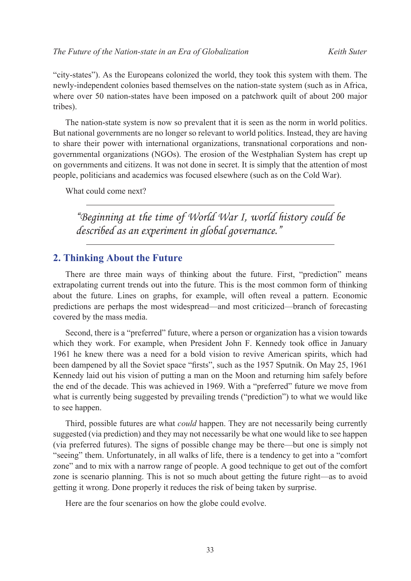"city-states"). As the Europeans colonized the world, they took this system with them. The newly-independent colonies based themselves on the nation-state system (such as in Africa, where over 50 nation-states have been imposed on a patchwork quilt of about 200 major tribes).

The nation-state system is now so prevalent that it is seen as the norm in world politics. But national governments are no longer so relevant to world politics. Instead, they are having to share their power with international organizations, transnational corporations and nongovernmental organizations (NGOs). The erosion of the Westphalian System has crept up on governments and citizens. It was not done in secret. It is simply that the attention of most people, politicians and academics was focused elsewhere (such as on the Cold War).

What could come next?

*"Beginning at the time of World War I, world history could be described as an experiment in global governance."*

#### **2. Thinking About the Future**

There are three main ways of thinking about the future. First, "prediction" means extrapolating current trends out into the future. This is the most common form of thinking about the future. Lines on graphs, for example, will often reveal a pattern. Economic predictions are perhaps the most widespread—and most criticized—branch of forecasting covered by the mass media.

Second, there is a "preferred" future, where a person or organization has a vision towards which they work. For example, when President John F. Kennedy took office in January 1961 he knew there was a need for a bold vision to revive American spirits, which had been dampened by all the Soviet space "firsts", such as the 1957 Sputnik. On May 25, 1961 Kennedy laid out his vision of putting a man on the Moon and returning him safely before the end of the decade. This was achieved in 1969. With a "preferred" future we move from what is currently being suggested by prevailing trends ("prediction") to what we would like to see happen.

Third, possible futures are what *could* happen. They are not necessarily being currently suggested (via prediction) and they may not necessarily be what one would like to see happen (via preferred futures). The signs of possible change may be there—but one is simply not "seeing" them. Unfortunately, in all walks of life, there is a tendency to get into a "comfort zone" and to mix with a narrow range of people. A good technique to get out of the comfort zone is scenario planning. This is not so much about getting the future right—as to avoid getting it wrong. Done properly it reduces the risk of being taken by surprise.

Here are the four scenarios on how the globe could evolve.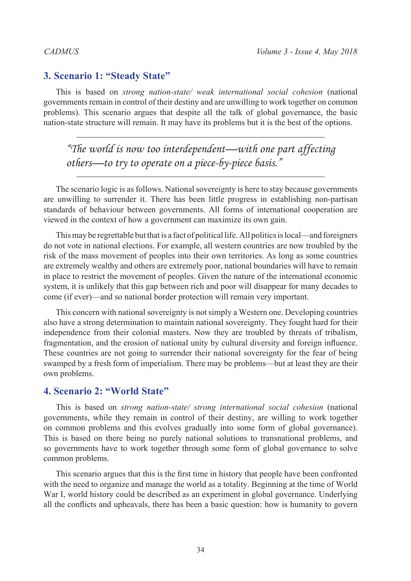#### **3. Scenario 1: "Steady State"**

This is based on *strong nation-state/ weak international social cohesion* (national governments remain in control of their destiny and are unwilling to work together on common problems). This scenario argues that despite all the talk of global governance, the basic nation-state structure will remain. It may have its problems but it is the best of the options.

*"The world is now too interdependent—with one part affecting others—to try to operate on a piece-by-piece basis."*

The scenario logic is as follows. National sovereignty is here to stay because governments are unwilling to surrender it. There has been little progress in establishing non-partisan standards of behaviour between governments. All forms of international cooperation are viewed in the context of how a government can maximize its own gain.

This may be regrettable but that is a fact of political life. All politics is local—and foreigners do not vote in national elections. For example, all western countries are now troubled by the risk of the mass movement of peoples into their own territories. As long as some countries are extremely wealthy and others are extremely poor, national boundaries will have to remain in place to restrict the movement of peoples. Given the nature of the international economic system, it is unlikely that this gap between rich and poor will disappear for many decades to come (if ever)—and so national border protection will remain very important.

This concern with national sovereignty is not simply a Western one. Developing countries also have a strong determination to maintain national sovereignty. They fought hard for their independence from their colonial masters. Now they are troubled by threats of tribalism, fragmentation, and the erosion of national unity by cultural diversity and foreign influence. These countries are not going to surrender their national sovereignty for the fear of being swamped by a fresh form of imperialism. There may be problems—but at least they are their own problems.

### **4. Scenario 2: "World State"**

This is based on *strong nation-state/ strong international social cohesion* (national governments, while they remain in control of their destiny, are willing to work together on common problems and this evolves gradually into some form of global governance). This is based on there being no purely national solutions to transnational problems, and so governments have to work together through some form of global governance to solve common problems.

This scenario argues that this is the first time in history that people have been confronted with the need to organize and manage the world as a totality. Beginning at the time of World War I, world history could be described as an experiment in global governance. Underlying all the conflicts and upheavals, there has been a basic question: how is humanity to govern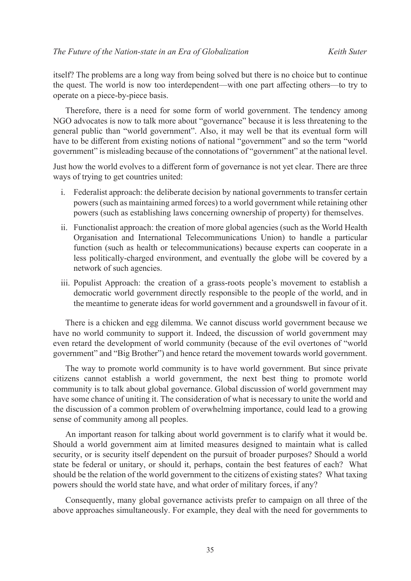itself? The problems are a long way from being solved but there is no choice but to continue the quest. The world is now too interdependent—with one part affecting others—to try to operate on a piece-by-piece basis.

Therefore, there is a need for some form of world government. The tendency among NGO advocates is now to talk more about "governance" because it is less threatening to the general public than "world government". Also, it may well be that its eventual form will have to be different from existing notions of national "government" and so the term "world government" is misleading because of the connotations of "government" at the national level.

Just how the world evolves to a different form of governance is not yet clear. There are three ways of trying to get countries united:

- i. Federalist approach: the deliberate decision by national governments to transfer certain powers (such as maintaining armed forces) to a world government while retaining other powers (such as establishing laws concerning ownership of property) for themselves.
- ii. Functionalist approach: the creation of more global agencies (such as the World Health Organisation and International Telecommunications Union) to handle a particular function (such as health or telecommunications) because experts can cooperate in a less politically-charged environment, and eventually the globe will be covered by a network of such agencies.
- iii. Populist Approach: the creation of a grass-roots people's movement to establish a democratic world government directly responsible to the people of the world, and in the meantime to generate ideas for world government and a groundswell in favour of it.

There is a chicken and egg dilemma. We cannot discuss world government because we have no world community to support it. Indeed, the discussion of world government may even retard the development of world community (because of the evil overtones of "world government" and "Big Brother") and hence retard the movement towards world government.

The way to promote world community is to have world government. But since private citizens cannot establish a world government, the next best thing to promote world community is to talk about global governance. Global discussion of world government may have some chance of uniting it. The consideration of what is necessary to unite the world and the discussion of a common problem of overwhelming importance, could lead to a growing sense of community among all peoples.

An important reason for talking about world government is to clarify what it would be. Should a world government aim at limited measures designed to maintain what is called security, or is security itself dependent on the pursuit of broader purposes? Should a world state be federal or unitary, or should it, perhaps, contain the best features of each? What should be the relation of the world government to the citizens of existing states? What taxing powers should the world state have, and what order of military forces, if any?

Consequently, many global governance activists prefer to campaign on all three of the above approaches simultaneously. For example, they deal with the need for governments to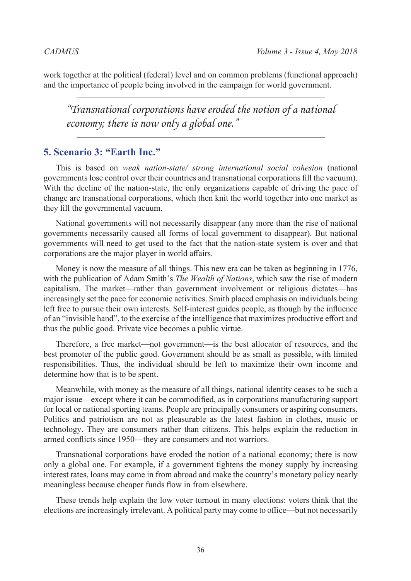work together at the political (federal) level and on common problems (functional approach) and the importance of people being involved in the campaign for world government.

*"Transnational corporations have eroded the notion of a national economy; there is now only a global one."*

### **5. Scenario 3: "Earth Inc."**

This is based on *weak nation-state/ strong international social cohesion* (national governments lose control over their countries and transnational corporations fill the vacuum). With the decline of the nation-state, the only organizations capable of driving the pace of change are transnational corporations, which then knit the world together into one market as they fill the governmental vacuum.

National governments will not necessarily disappear (any more than the rise of national governments necessarily caused all forms of local government to disappear). But national governments will need to get used to the fact that the nation-state system is over and that corporations are the major player in world affairs.

Money is now the measure of all things. This new era can be taken as beginning in 1776, with the publication of Adam Smith's *The Wealth of Nations*, which saw the rise of modern capitalism. The market—rather than government involvement or religious dictates—has increasingly set the pace for economic activities. Smith placed emphasis on individuals being left free to pursue their own interests. Self-interest guides people, as though by the influence of an "invisible hand", to the exercise of the intelligence that maximizes productive effort and thus the public good. Private vice becomes a public virtue.

Therefore, a free market—not government—is the best allocator of resources, and the best promoter of the public good. Government should be as small as possible, with limited responsibilities. Thus, the individual should be left to maximize their own income and determine how that is to be spent.

Meanwhile, with money as the measure of all things, national identity ceases to be such a major issue—except where it can be commodified, as in corporations manufacturing support for local or national sporting teams. People are principally consumers or aspiring consumers. Politics and patriotism are not as pleasurable as the latest fashion in clothes, music or technology. They are consumers rather than citizens. This helps explain the reduction in armed conflicts since 1950—they are consumers and not warriors.

Transnational corporations have eroded the notion of a national economy; there is now only a global one. For example, if a government tightens the money supply by increasing interest rates, loans may come in from abroad and make the country's monetary policy nearly meaningless because cheaper funds flow in from elsewhere.

These trends help explain the low voter turnout in many elections: voters think that the elections are increasingly irrelevant. A political party may come to office—but not necessarily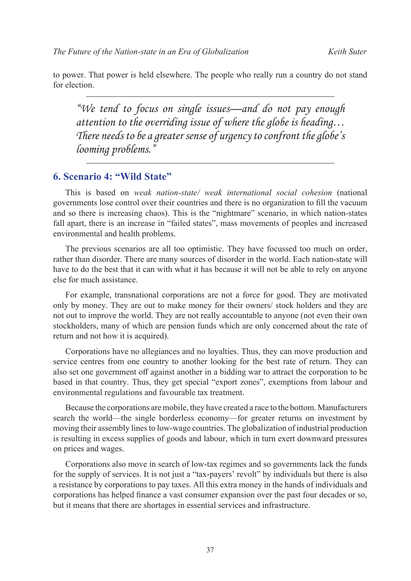to power. That power is held elsewhere. The people who really run a country do not stand for election.

*"We tend to focus on single issues—and do not pay enough attention to the overriding issue of where the globe is heading… There needs to be a greater sense of urgency to confront the globe's looming problems."*

# **6. Scenario 4: "Wild State"**

This is based on *weak nation-state/ weak international social cohesion* (national governments lose control over their countries and there is no organization to fill the vacuum and so there is increasing chaos). This is the "nightmare" scenario, in which nation-states fall apart, there is an increase in "failed states", mass movements of peoples and increased environmental and health problems.

The previous scenarios are all too optimistic. They have focussed too much on order, rather than disorder. There are many sources of disorder in the world. Each nation-state will have to do the best that it can with what it has because it will not be able to rely on anyone else for much assistance.

For example, transnational corporations are not a force for good. They are motivated only by money. They are out to make money for their owners/ stock holders and they are not out to improve the world. They are not really accountable to anyone (not even their own stockholders, many of which are pension funds which are only concerned about the rate of return and not how it is acquired).

Corporations have no allegiances and no loyalties. Thus, they can move production and service centres from one country to another looking for the best rate of return. They can also set one government off against another in a bidding war to attract the corporation to be based in that country. Thus, they get special "export zones", exemptions from labour and environmental regulations and favourable tax treatment.

Because the corporations are mobile, they have created a race to the bottom. Manufacturers search the world—the single borderless economy—for greater returns on investment by moving their assembly lines to low-wage countries. The globalization of industrial production is resulting in excess supplies of goods and labour, which in turn exert downward pressures on prices and wages.

Corporations also move in search of low-tax regimes and so governments lack the funds for the supply of services. It is not just a "tax-payers' revolt" by individuals but there is also a resistance by corporations to pay taxes. All this extra money in the hands of individuals and corporations has helped finance a vast consumer expansion over the past four decades or so, but it means that there are shortages in essential services and infrastructure.